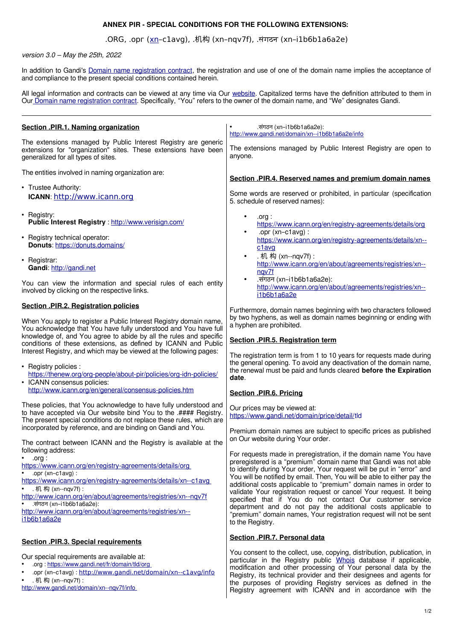## **ANNEX PIR - SPECIAL CONDITIONS FOR THE FOLLOWING EXTENSIONS:**

## .ORG, .орг ([xn–](https://www.icann.org/en/registry-agreements/details/xn)c1avg), .机构 (xn–nqv7f), .संगठन (xn–i1b6b1a6a2e)

## version 3.0 – May the 25th, 2022

In addition to Gandi's [Domain name registration contract,](https://www.gandi.net/en/contracts/terms-of-service) the registration and use of one of the domain name implies the acceptance of and compliance to the present special conditions contained herein.

All legal information and contracts can be viewed at any time via Our [website.](https://www.gandi.net/en) Capitalized terms have the definition attributed to them in Our [Domain name registration contract](https://www.gandi.net/en/contracts/terms-of-service). Specifically, "You" refers to the owner of the domain name, and "We" designates Gandi.

| Section .PIR.1. Naming organization                                                                                                                                                                                                                                                                                                                                                                                                                                                | .संगठन (xn-i1b6b1a6a2e):<br>http://www.gandi.net/domain/xn--i1b6b1a6a2e/info                                                                                                                                                                                                                                                                                                                                                                                                                                                                                                                                                                                  |
|------------------------------------------------------------------------------------------------------------------------------------------------------------------------------------------------------------------------------------------------------------------------------------------------------------------------------------------------------------------------------------------------------------------------------------------------------------------------------------|---------------------------------------------------------------------------------------------------------------------------------------------------------------------------------------------------------------------------------------------------------------------------------------------------------------------------------------------------------------------------------------------------------------------------------------------------------------------------------------------------------------------------------------------------------------------------------------------------------------------------------------------------------------|
| The extensions managed by Public Interest Registry are generic<br>extensions for "organization" sites. These extensions have been<br>generalized for all types of sites.                                                                                                                                                                                                                                                                                                           | The extensions managed by Public Interest Registry are open to<br>anyone.                                                                                                                                                                                                                                                                                                                                                                                                                                                                                                                                                                                     |
| The entities involved in naming organization are:                                                                                                                                                                                                                                                                                                                                                                                                                                  | Section .PIR.4. Reserved names and premium domain names                                                                                                                                                                                                                                                                                                                                                                                                                                                                                                                                                                                                       |
| • Trustee Authority:<br>ICANN: http://www.icann.org                                                                                                                                                                                                                                                                                                                                                                                                                                | Some words are reserved or prohibited, in particular (specification<br>5. schedule of reserved names):                                                                                                                                                                                                                                                                                                                                                                                                                                                                                                                                                        |
| • Registry:<br>Public Interest Registry : http://www.verisign.com/                                                                                                                                                                                                                                                                                                                                                                                                                 | .org:<br>https://www.icann.org/en/registry-agreements/details/org                                                                                                                                                                                                                                                                                                                                                                                                                                                                                                                                                                                             |
| • Registry technical operator:<br>Donuts: https://donuts.domains/                                                                                                                                                                                                                                                                                                                                                                                                                  | .opr $(xn-c1avg)$ :<br>$\bullet$<br>https://www.icann.org/en/registry-agreements/details/xn--<br>c <sub>1</sub> avg                                                                                                                                                                                                                                                                                                                                                                                                                                                                                                                                           |
| • Registrar:<br>Gandi: http://gandi.net                                                                                                                                                                                                                                                                                                                                                                                                                                            | . 机 构 (xn--nqv7f):<br>$\bullet$<br>http://www.icann.org/en/about/agreements/registries/xn--<br>nqv7f                                                                                                                                                                                                                                                                                                                                                                                                                                                                                                                                                          |
| You can view the information and special rules of each entity<br>involved by clicking on the respective links.                                                                                                                                                                                                                                                                                                                                                                     | .संगठन (xn-i1b6b1a6a2e):<br>http://www.icann.org/en/about/agreements/registries/xn--<br>i1b6b1a6a2e                                                                                                                                                                                                                                                                                                                                                                                                                                                                                                                                                           |
| <b>Section .PIR.2. Registration policies</b>                                                                                                                                                                                                                                                                                                                                                                                                                                       | Furthermore, domain names beginning with two characters followed                                                                                                                                                                                                                                                                                                                                                                                                                                                                                                                                                                                              |
| When You apply to register a Public Interest Registry domain name,<br>You acknowledge that You have fully understood and You have full<br>knowledge of, and You agree to abide by all the rules and specific<br>conditions of these extensions, as defined by ICANN and Public<br>Interest Registry, and which may be viewed at the following pages:<br>• Registry policies :<br>https://thenew.org/org-people/about-pir/policies/org-idn-policies/<br>• ICANN consensus policies: | by two hyphens, as well as domain names beginning or ending with<br>a hyphen are prohibited.<br>Section .PIR.5. Registration term<br>The registration term is from 1 to 10 years for requests made during<br>the general opening. To avoid any deactivation of the domain name,<br>the renewal must be paid and funds cleared before the Expiration<br>date.                                                                                                                                                                                                                                                                                                  |
| http://www.icann.org/en/general/consensus-policies.htm                                                                                                                                                                                                                                                                                                                                                                                                                             | Section .PIR.6. Pricing                                                                                                                                                                                                                                                                                                                                                                                                                                                                                                                                                                                                                                       |
| These policies, that You acknowledge to have fully understood and<br>to have accepted via Our website bind You to the .#### Registry.<br>The present special conditions do not replace these rules, which are<br>incorporated by reference, and are binding on Gandi and You.                                                                                                                                                                                                      | Our prices may be viewed at:<br>https://www.gandi.net/domain/price/detail/tld<br>Premium domain names are subject to specific prices as published                                                                                                                                                                                                                                                                                                                                                                                                                                                                                                             |
| The contract between ICANN and the Registry is available at the                                                                                                                                                                                                                                                                                                                                                                                                                    | on Our website during Your order.                                                                                                                                                                                                                                                                                                                                                                                                                                                                                                                                                                                                                             |
| following address:<br>$\bullet$ .org :<br>https://www.icann.org/en/registry-agreements/details/org<br>$opr(xn-c1avg)$ :<br>$\bullet$<br>https://www.icann.org/en/registry-agreements/details/xn--c1avg<br>. 机 构 (xn--nqv7f) :<br>$\bullet$<br>http://www.icann.org/en/about/agreements/registries/xn--nqv7f<br>.संगठन (xn-i1b6b1a6a2e):<br>http://www.icann.org/en/about/agreements/registries/xn--<br>i1b6b1a6a2e                                                                 | For requests made in preregistration, if the domain name You have<br>preregistered is a "premium" domain name that Gandi was not able<br>to identify during Your order, Your request will be put in "error" and<br>You will be notified by email. Then, You will be able to either pay the<br>additional costs applicable to "premium" domain names in order to<br>validate Your registration request or cancel Your request. It being<br>specified that if You do not contact Our customer service<br>department and do not pay the additional costs applicable to<br>"premium" domain names, Your registration request will not be sent<br>to the Registry. |
| <b>Section .PIR.3. Special requirements</b>                                                                                                                                                                                                                                                                                                                                                                                                                                        | Section .PIR.7. Personal data                                                                                                                                                                                                                                                                                                                                                                                                                                                                                                                                                                                                                                 |
| Our special requirements are available at:<br>.org:https://www.gandi.net/fr/domain/tld/org<br>.opr (xn-c1avg): http://www.gandi.net/domain/xn--c1avg/info<br>. 机构 (xn--nqv7f):<br>http://www.gandi.net/domain/xn--nqv7f/info                                                                                                                                                                                                                                                       | You consent to the collect, use, copying, distribution, publication, in<br>particular in the Registry public Whois database if applicable,<br>modification and other processing of Your personal data by the<br>Registry, its technical provider and their designees and agents for<br>the purposes of providing Registry services as defined in the<br>Begistry agreement with ICANN and in accordance with the                                                                                                                                                                                                                                              |

1/2

Registry agreement with ICANN and in accordance with the